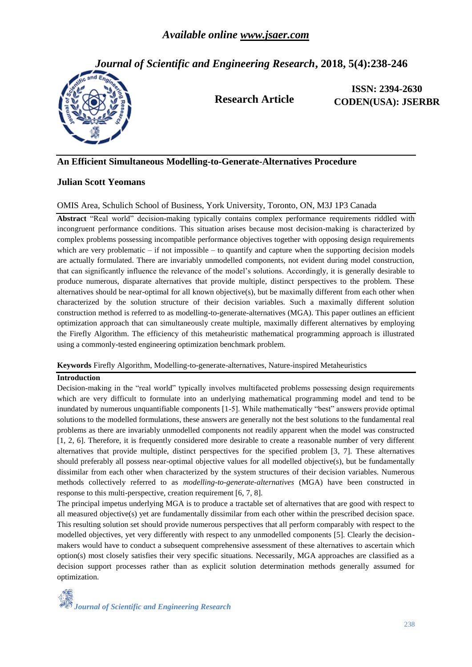*Journal of Scientific and Engineering Research***, 2018, 5(4):238-246**



**Research Article**

**ISSN: 2394-2630 CODEN(USA): JSERBR**

# **An Efficient Simultaneous Modelling-to-Generate-Alternatives Procedure**

## **Julian Scott Yeomans**

### OMIS Area, Schulich School of Business, York University, Toronto, ON, M3J 1P3 Canada

**Abstract** "Real world" decision-making typically contains complex performance requirements riddled with incongruent performance conditions. This situation arises because most decision-making is characterized by complex problems possessing incompatible performance objectives together with opposing design requirements which are very problematic – if not impossible – to quantify and capture when the supporting decision models are actually formulated. There are invariably unmodelled components, not evident during model construction, that can significantly influence the relevance of the model's solutions. Accordingly, it is generally desirable to produce numerous, disparate alternatives that provide multiple, distinct perspectives to the problem. These alternatives should be near-optimal for all known objective(s), but be maximally different from each other when characterized by the solution structure of their decision variables. Such a maximally different solution construction method is referred to as modelling-to-generate-alternatives (MGA). This paper outlines an efficient optimization approach that can simultaneously create multiple, maximally different alternatives by employing the Firefly Algorithm. The efficiency of this metaheuristic mathematical programming approach is illustrated using a commonly-tested engineering optimization benchmark problem.

**Keywords** Firefly Algorithm, Modelling-to-generate-alternatives, Nature-inspired Metaheuristics

### **Introduction**

Decision-making in the "real world" typically involves multifaceted problems possessing design requirements which are very difficult to formulate into an underlying mathematical programming model and tend to be inundated by numerous unquantifiable components [1-5]. While mathematically "best" answers provide optimal solutions to the modelled formulations, these answers are generally not the best solutions to the fundamental real problems as there are invariably unmodelled components not readily apparent when the model was constructed [1, 2, 6]. Therefore, it is frequently considered more desirable to create a reasonable number of very different alternatives that provide multiple, distinct perspectives for the specified problem [3, 7]. These alternatives should preferably all possess near-optimal objective values for all modelled objective(s), but be fundamentally dissimilar from each other when characterized by the system structures of their decision variables. Numerous methods collectively referred to as *modelling-to-generate-alternatives* (MGA) have been constructed in response to this multi-perspective, creation requirement [6, 7, 8].

The principal impetus underlying MGA is to produce a tractable set of alternatives that are good with respect to all measured objective(s) yet are fundamentally dissimilar from each other within the prescribed decision space. This resulting solution set should provide numerous perspectives that all perform comparably with respect to the modelled objectives, yet very differently with respect to any unmodelled components [5]. Clearly the decisionmakers would have to conduct a subsequent comprehensive assessment of these alternatives to ascertain which option(s) most closely satisfies their very specific situations. Necessarily, MGA approaches are classified as a decision support processes rather than as explicit solution determination methods generally assumed for optimization.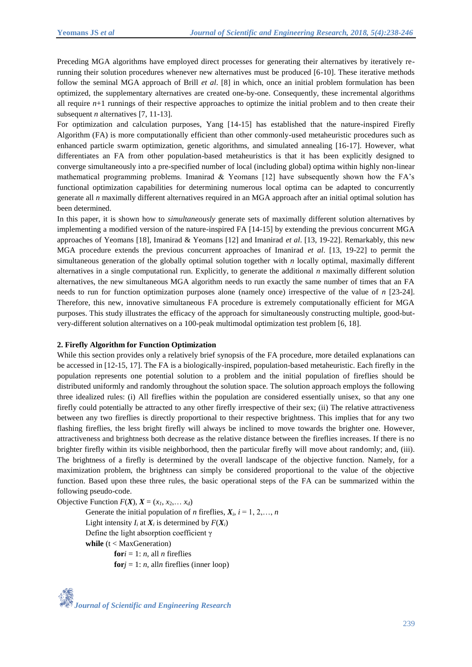Preceding MGA algorithms have employed direct processes for generating their alternatives by iteratively rerunning their solution procedures whenever new alternatives must be produced [6-10]. These iterative methods follow the seminal MGA approach of Brill *et al*. [8] in which, once an initial problem formulation has been optimized, the supplementary alternatives are created one-by-one. Consequently, these incremental algorithms all require *n*+1 runnings of their respective approaches to optimize the initial problem and to then create their subsequent *n* alternatives [7, 11-13].

For optimization and calculation purposes, Yang [14-15] has established that the nature-inspired Firefly Algorithm (FA) is more computationally efficient than other commonly-used metaheuristic procedures such as enhanced particle swarm optimization, genetic algorithms, and simulated annealing [16-17]. However, what differentiates an FA from other population-based metaheuristics is that it has been explicitly designed to converge simultaneously into a pre-specified number of local (including global) optima within highly non-linear mathematical programming problems. Imanirad  $\&$  Yeomans [12] have subsequently shown how the FA's functional optimization capabilities for determining numerous local optima can be adapted to concurrently generate all *n* maximally different alternatives required in an MGA approach after an initial optimal solution has been determined.

In this paper, it is shown how to *simultaneously* generate sets of maximally different solution alternatives by implementing a modified version of the nature-inspired FA [14-15] by extending the previous concurrent MGA approaches of Yeomans [18], Imanirad & Yeomans [12] and Imanirad *et al*. [13, 19-22]. Remarkably, this new MGA procedure extends the previous concurrent approaches of Imanirad *et al*. [13, 19-22] to permit the simultaneous generation of the globally optimal solution together with *n* locally optimal, maximally different alternatives in a single computational run. Explicitly, to generate the additional *n* maximally different solution alternatives, the new simultaneous MGA algorithm needs to run exactly the same number of times that an FA needs to run for function optimization purposes alone (namely once) irrespective of the value of *n* [23-24]. Therefore, this new, innovative simultaneous FA procedure is extremely computationally efficient for MGA purposes. This study illustrates the efficacy of the approach for simultaneously constructing multiple, good-butvery-different solution alternatives on a 100-peak multimodal optimization test problem [6, 18].

### **2. Firefly Algorithm for Function Optimization**

While this section provides only a relatively brief synopsis of the FA procedure, more detailed explanations can be accessed in [12-15, 17]. The FA is a biologically-inspired, population-based metaheuristic. Each firefly in the population represents one potential solution to a problem and the initial population of fireflies should be distributed uniformly and randomly throughout the solution space. The solution approach employs the following three idealized rules: (i) All fireflies within the population are considered essentially unisex, so that any one firefly could potentially be attracted to any other firefly irrespective of their sex; (ii) The relative attractiveness between any two fireflies is directly proportional to their respective brightness. This implies that for any two flashing fireflies, the less bright firefly will always be inclined to move towards the brighter one. However, attractiveness and brightness both decrease as the relative distance between the fireflies increases. If there is no brighter firefly within its visible neighborhood, then the particular firefly will move about randomly; and, (iii). The brightness of a firefly is determined by the overall landscape of the objective function. Namely, for a maximization problem, the brightness can simply be considered proportional to the value of the objective function. Based upon these three rules, the basic operational steps of the FA can be summarized within the following pseudo-code.

Objective Function  $F(X)$ ,  $X = (x_1, x_2, \ldots, x_d)$ 

Generate the initial population of *n* fireflies,  $X_i$ ,  $i = 1, 2, \ldots, n$ Light intensity  $I_i$  at  $X_i$  is determined by  $F(X_i)$ Define the light absorption coefficient γ **while** (t < MaxGeneration) **for***i* = 1: *n*, all *n* fireflies  $$ 

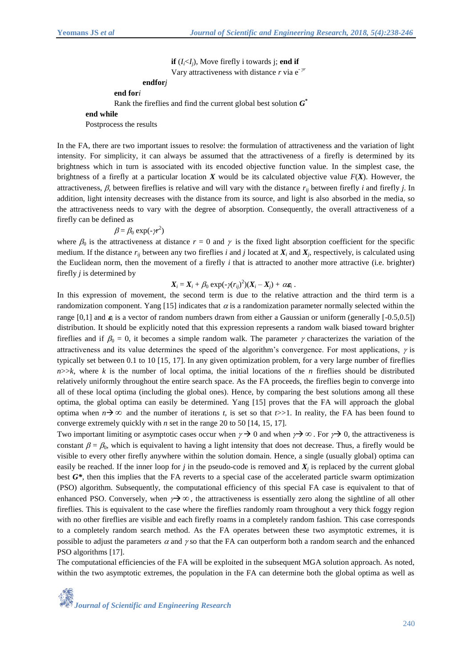**if**  $(I_i \leq I_i)$ , Move firefly i towards j; **end if** Vary attractiveness with distance *r* via e- *γr*

# **endfor***j* **end for***i* Rank the fireflies and find the current global best solution *G* **\* end while** Postprocess the results

In the FA, there are two important issues to resolve: the formulation of attractiveness and the variation of light intensity. For simplicity, it can always be assumed that the attractiveness of a firefly is determined by its brightness which in turn is associated with its encoded objective function value. In the simplest case, the brightness of a firefly at a particular location  $X$  would be its calculated objective value  $F(X)$ . However, the attractiveness,  $\beta$ , between fireflies is relative and will vary with the distance  $r_{ij}$  between firefly *i* and firefly *j*. In addition, light intensity decreases with the distance from its source, and light is also absorbed in the media, so the attractiveness needs to vary with the degree of absorption. Consequently, the overall attractiveness of a firefly can be defined as

$$
\beta = \beta_0 \exp(-\gamma r^2)
$$

where  $\beta_0$  is the attractiveness at distance  $r = 0$  and  $\gamma$  is the fixed light absorption coefficient for the specific medium. If the distance  $r_{ij}$  between any two fireflies *i* and *j* located at  $X_i$  and  $X_j$ , respectively, is calculated using the Euclidean norm, then the movement of a firefly  $i$  that is attracted to another more attractive (i.e. brighter) firefly *j* is determined by

## $X_i = X_i + \beta_0 \exp(-\gamma (r_{ij})^2)(X_i - X_j) + \alpha \varepsilon_i$ .

In this expression of movement, the second term is due to the relative attraction and the third term is a randomization component. Yang [15] indicates that  $\alpha$  is a randomization parameter normally selected within the range  $[0,1]$  and  $\varepsilon$ <sub>i</sub> is a vector of random numbers drawn from either a Gaussian or uniform (generally  $[-0.5,0.5]$ ) distribution. It should be explicitly noted that this expression represents a random walk biased toward brighter fireflies and if  $\beta_0 = 0$ , it becomes a simple random walk. The parameter  $\gamma$  characterizes the variation of the attractiveness and its value determines the speed of the algorithm's convergence. For most applications,  $\gamma$  is typically set between 0.1 to 10 [15, 17]. In any given optimization problem, for a very large number of fireflies  $n$ >> $k$ , where  $k$  is the number of local optima, the initial locations of the *n* fireflies should be distributed relatively uniformly throughout the entire search space. As the FA proceeds, the fireflies begin to converge into all of these local optima (including the global ones). Hence, by comparing the best solutions among all these optima, the global optima can easily be determined. Yang [15] proves that the FA will approach the global optima when  $n \rightarrow \infty$  and the number of iterations *t*, is set so that  $t \gg 1$ . In reality, the FA has been found to converge extremely quickly with *n* set in the range 20 to 50 [14, 15, 17].

Two important limiting or asymptotic cases occur when  $\gamma \to 0$  and when  $\gamma \to \infty$ . For  $\gamma \to 0$ , the attractiveness is constant  $\beta = \beta_0$ , which is equivalent to having a light intensity that does not decrease. Thus, a firefly would be visible to every other firefly anywhere within the solution domain. Hence, a single (usually global) optima can easily be reached. If the inner loop for *j* in the pseudo-code is removed and  $X_j$  is replaced by the current global best  $G^*$ , then this implies that the FA reverts to a special case of the accelerated particle swarm optimization (PSO) algorithm. Subsequently, the computational efficiency of this special FA case is equivalent to that of enhanced PSO. Conversely, when  $\gamma \rightarrow \infty$ , the attractiveness is essentially zero along the sightline of all other fireflies. This is equivalent to the case where the fireflies randomly roam throughout a very thick foggy region with no other fireflies are visible and each firefly roams in a completely random fashion. This case corresponds to a completely random search method. As the FA operates between these two asymptotic extremes, it is possible to adjust the parameters  $\alpha$  and  $\gamma$  so that the FA can outperform both a random search and the enhanced PSO algorithms [17].

The computational efficiencies of the FA will be exploited in the subsequent MGA solution approach. As noted, within the two asymptotic extremes, the population in the FA can determine both the global optima as well as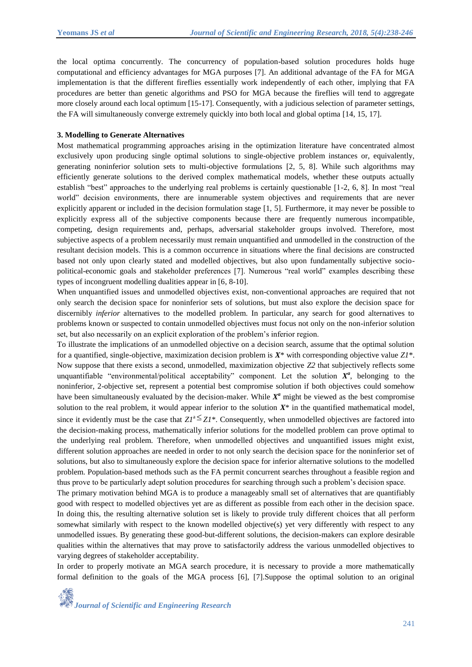the local optima concurrently. The concurrency of population-based solution procedures holds huge computational and efficiency advantages for MGA purposes [7]. An additional advantage of the FA for MGA implementation is that the different fireflies essentially work independently of each other, implying that FA procedures are better than genetic algorithms and PSO for MGA because the fireflies will tend to aggregate more closely around each local optimum [15-17]. Consequently, with a judicious selection of parameter settings, the FA will simultaneously converge extremely quickly into both local and global optima [14, 15, 17].

#### **3. Modelling to Generate Alternatives**

Most mathematical programming approaches arising in the optimization literature have concentrated almost exclusively upon producing single optimal solutions to single-objective problem instances or, equivalently, generating noninferior solution sets to multi-objective formulations [2, 5, 8]. While such algorithms may efficiently generate solutions to the derived complex mathematical models, whether these outputs actually establish "best" approaches to the underlying real problems is certainly questionable [1-2, 6, 8]. In most "real world" decision environments, there are innumerable system objectives and requirements that are never explicitly apparent or included in the decision formulation stage [1, 5]. Furthermore, it may never be possible to explicitly express all of the subjective components because there are frequently numerous incompatible, competing, design requirements and, perhaps, adversarial stakeholder groups involved. Therefore, most subjective aspects of a problem necessarily must remain unquantified and unmodelled in the construction of the resultant decision models. This is a common occurrence in situations where the final decisions are constructed based not only upon clearly stated and modelled objectives, but also upon fundamentally subjective sociopolitical-economic goals and stakeholder preferences [7]. Numerous "real world" examples describing these types of incongruent modelling dualities appear in [6, 8-10].

When unquantified issues and unmodelled objectives exist, non-conventional approaches are required that not only search the decision space for noninferior sets of solutions, but must also explore the decision space for discernibly *inferior* alternatives to the modelled problem. In particular, any search for good alternatives to problems known or suspected to contain unmodelled objectives must focus not only on the non-inferior solution set, but also necessarily on an explicit exploration of the problem's inferior region.

To illustrate the implications of an unmodelled objective on a decision search, assume that the optimal solution for a quantified, single-objective, maximization decision problem is *X*\* with corresponding objective value *Z1*\*. Now suppose that there exists a second, unmodelled, maximization objective *Z2* that subjectively reflects some unquantifiable "environmental/political acceptability" component. Let the solution  $X^a$ , belonging to the noninferior, 2-objective set, represent a potential best compromise solution if both objectives could somehow have been simultaneously evaluated by the decision-maker. While  $X^a$  might be viewed as the best compromise solution to the real problem, it would appear inferior to the solution  $X^*$  in the quantified mathematical model, since it evidently must be the case that  $ZI^a \leq ZI^*$ . Consequently, when unmodelled objectives are factored into the decision-making process, mathematically inferior solutions for the modelled problem can prove optimal to the underlying real problem. Therefore, when unmodelled objectives and unquantified issues might exist, different solution approaches are needed in order to not only search the decision space for the noninferior set of solutions, but also to simultaneously explore the decision space for inferior alternative solutions to the modelled problem. Population-based methods such as the FA permit concurrent searches throughout a feasible region and thus prove to be particularly adept solution procedures for searching through such a problem's decision space.

The primary motivation behind MGA is to produce a manageably small set of alternatives that are quantifiably good with respect to modelled objectives yet are as different as possible from each other in the decision space. In doing this, the resulting alternative solution set is likely to provide truly different choices that all perform somewhat similarly with respect to the known modelled objective(s) yet very differently with respect to any unmodelled issues. By generating these good-but-different solutions, the decision-makers can explore desirable qualities within the alternatives that may prove to satisfactorily address the various unmodelled objectives to varying degrees of stakeholder acceptability.

In order to properly motivate an MGA search procedure, it is necessary to provide a more mathematically formal definition to the goals of the MGA process [6], [7].Suppose the optimal solution to an original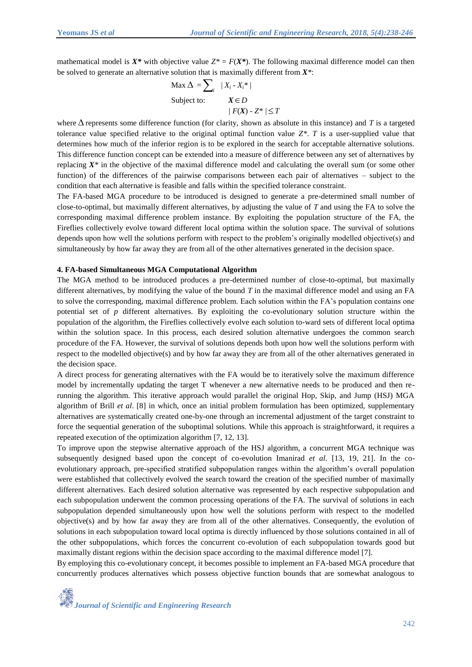mathematical model is  $X^*$  with objective value  $Z^* = F(X^*)$ . The following maximal difference model can then be solved to generate an alternative solution that is maximally different from *X\**:

$$
\begin{aligned} \text{Max } \Delta &= \sum_{i} \quad |X_i - X_i^*| \\ \text{Subject to:} \qquad & X \in D \\ & /F(X) \cdot Z^* / \le T \end{aligned}
$$

where  $\Delta$  represents some difference function (for clarity, shown as absolute in this instance) and *T* is a targeted tolerance value specified relative to the original optimal function value *Z\**. *T* is a user-supplied value that determines how much of the inferior region is to be explored in the search for acceptable alternative solutions. This difference function concept can be extended into a measure of difference between any set of alternatives by replacing  $X^*$  in the objective of the maximal difference model and calculating the overall sum (or some other function) of the differences of the pairwise comparisons between each pair of alternatives – subject to the condition that each alternative is feasible and falls within the specified tolerance constraint.

The FA-based MGA procedure to be introduced is designed to generate a pre-determined small number of close-to-optimal, but maximally different alternatives, by adjusting the value of *T* and using the FA to solve the corresponding maximal difference problem instance. By exploiting the population structure of the FA, the Fireflies collectively evolve toward different local optima within the solution space. The survival of solutions depends upon how well the solutions perform with respect to the problem's originally modelled objective(s) and simultaneously by how far away they are from all of the other alternatives generated in the decision space.

#### **4. FA-based Simultaneous MGA Computational Algorithm**

The MGA method to be introduced produces a pre-determined number of close-to-optimal, but maximally different alternatives, by modifying the value of the bound *T* in the maximal difference model and using an FA to solve the corresponding, maximal difference problem. Each solution within the FA's population contains one potential set of *p* different alternatives. By exploiting the co-evolutionary solution structure within the population of the algorithm, the Fireflies collectively evolve each solution to-ward sets of different local optima within the solution space. In this process, each desired solution alternative undergoes the common search procedure of the FA. However, the survival of solutions depends both upon how well the solutions perform with respect to the modelled objective(s) and by how far away they are from all of the other alternatives generated in the decision space.

A direct process for generating alternatives with the FA would be to iteratively solve the maximum difference model by incrementally updating the target T whenever a new alternative needs to be produced and then rerunning the algorithm. This iterative approach would parallel the original Hop, Skip, and Jump (HSJ) MGA algorithm of Brill *et al*. [8] in which, once an initial problem formulation has been optimized, supplementary alternatives are systematically created one-by-one through an incremental adjustment of the target constraint to force the sequential generation of the suboptimal solutions. While this approach is straightforward, it requires a repeated execution of the optimization algorithm [7, 12, 13].

To improve upon the stepwise alternative approach of the HSJ algorithm, a concurrent MGA technique was subsequently designed based upon the concept of co-evolution Imanirad *et al*. [13, 19, 21]. In the coevolutionary approach, pre-specified stratified subpopulation ranges within the algorithm's overall population were established that collectively evolved the search toward the creation of the specified number of maximally different alternatives. Each desired solution alternative was represented by each respective subpopulation and each subpopulation underwent the common processing operations of the FA. The survival of solutions in each subpopulation depended simultaneously upon how well the solutions perform with respect to the modelled objective(s) and by how far away they are from all of the other alternatives. Consequently, the evolution of solutions in each subpopulation toward local optima is directly influenced by those solutions contained in all of the other subpopulations, which forces the concurrent co-evolution of each subpopulation towards good but maximally distant regions within the decision space according to the maximal difference model [7].

By employing this co-evolutionary concept, it becomes possible to implement an FA-based MGA procedure that concurrently produces alternatives which possess objective function bounds that are somewhat analogous to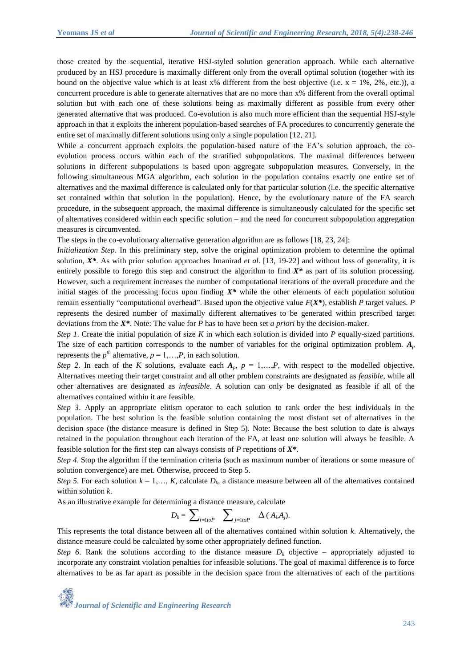those created by the sequential, iterative HSJ-styled solution generation approach. While each alternative produced by an HSJ procedure is maximally different only from the overall optimal solution (together with its bound on the objective value which is at least  $x\%$  different from the best objective (i.e.  $x = 1\%$ , 2%, etc.)), a concurrent procedure is able to generate alternatives that are no more than x% different from the overall optimal solution but with each one of these solutions being as maximally different as possible from every other generated alternative that was produced. Co-evolution is also much more efficient than the sequential HSJ-style approach in that it exploits the inherent population-based searches of FA procedures to concurrently generate the entire set of maximally different solutions using only a single population [12, 21].

While a concurrent approach exploits the population-based nature of the FA's solution approach, the coevolution process occurs within each of the stratified subpopulations. The maximal differences between solutions in different subpopulations is based upon aggregate subpopulation measures. Conversely, in the following simultaneous MGA algorithm, each solution in the population contains exactly one entire set of alternatives and the maximal difference is calculated only for that particular solution (i.e. the specific alternative set contained within that solution in the population). Hence, by the evolutionary nature of the FA search procedure, in the subsequent approach, the maximal difference is simultaneously calculated for the specific set of alternatives considered within each specific solution – and the need for concurrent subpopulation aggregation measures is circumvented.

The steps in the co-evolutionary alternative generation algorithm are as follows [18, 23, 24]:

*Initialization Step*. In this preliminary step, solve the original optimization problem to determine the optimal solution,  $X^*$ . As with prior solution approaches Imanirad *et al.* [13, 19-22] and without loss of generality, it is entirely possible to forego this step and construct the algorithm to find  $X^*$  as part of its solution processing. However, such a requirement increases the number of computational iterations of the overall procedure and the initial stages of the processing focus upon finding *X\** while the other elements of each population solution remain essentially "computational overhead". Based upon the objective value *F*(*X\**), establish *P* target values. *P* represents the desired number of maximally different alternatives to be generated within prescribed target deviations from the *X\**. Note: The value for *P* has to have been set *a priori* by the decision-maker.

*Step 1*. Create the initial population of size *K* in which each solution is divided into *P* equally-sized partitions. The size of each partition corresponds to the number of variables for the original optimization problem.  $A_p$ represents the  $p^{th}$  alternative,  $p = 1,...,P$ , in each solution.

*Step 2.* In each of the *K* solutions, evaluate each  $A_p$ ,  $p = 1,...,P$ , with respect to the modelled objective. Alternatives meeting their target constraint and all other problem constraints are designated as *feasible*, while all other alternatives are designated as *infeasible*. A solution can only be designated as feasible if all of the alternatives contained within it are feasible.

*Step 3*. Apply an appropriate elitism operator to each solution to rank order the best individuals in the population. The best solution is the feasible solution containing the most distant set of alternatives in the decision space (the distance measure is defined in Step 5). Note: Because the best solution to date is always retained in the population throughout each iteration of the FA, at least one solution will always be feasible. A feasible solution for the first step can always consists of *P* repetitions of *X\**.

*Step 4*. Stop the algorithm if the termination criteria (such as maximum number of iterations or some measure of solution convergence) are met. Otherwise, proceed to Step 5.

*Step 5*. For each solution  $k = 1,..., K$ , calculate  $D_k$ , a distance measure between all of the alternatives contained within solution *k*.

As an illustrative example for determining a distance measure, calculate

$$
D_k = \sum\nolimits_{i=1toP} \quad \sum\nolimits_{j=1toP} \quad \Delta \left( A_i, A_j \right).
$$

This represents the total distance between all of the alternatives contained within solution *k*. Alternatively, the distance measure could be calculated by some other appropriately defined function.

*Step 6*. Rank the solutions according to the distance measure  $D_k$  objective – appropriately adjusted to incorporate any constraint violation penalties for infeasible solutions. The goal of maximal difference is to force alternatives to be as far apart as possible in the decision space from the alternatives of each of the partitions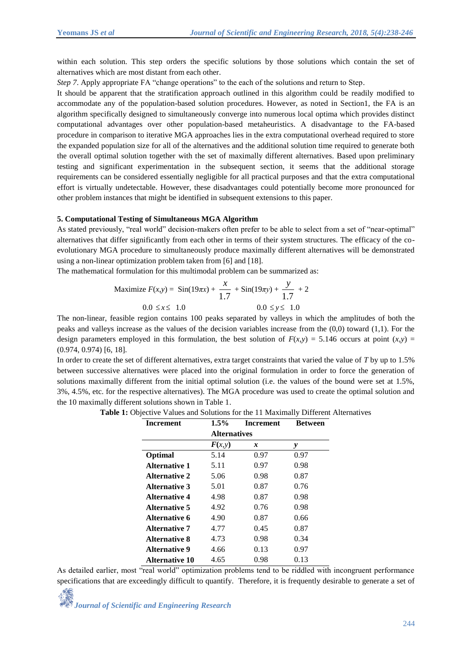within each solution. This step orders the specific solutions by those solutions which contain the set of alternatives which are most distant from each other.

*Step 7.* Apply appropriate FA "change operations" to the each of the solutions and return to Step.

It should be apparent that the stratification approach outlined in this algorithm could be readily modified to accommodate any of the population-based solution procedures. However, as noted in Section1, the FA is an algorithm specifically designed to simultaneously converge into numerous local optima which provides distinct computational advantages over other population-based metaheuristics. A disadvantage to the FA-based procedure in comparison to iterative MGA approaches lies in the extra computational overhead required to store the expanded population size for all of the alternatives and the additional solution time required to generate both the overall optimal solution together with the set of maximally different alternatives. Based upon preliminary testing and significant experimentation in the subsequent section, it seems that the additional storage requirements can be considered essentially negligible for all practical purposes and that the extra computational effort is virtually undetectable. However, these disadvantages could potentially become more pronounced for other problem instances that might be identified in subsequent extensions to this paper.

#### **5. Computational Testing of Simultaneous MGA Algorithm**

As stated previously, "real world" decision-makers often prefer to be able to select from a set of "near-optimal" alternatives that differ significantly from each other in terms of their system structures. The efficacy of the coevolutionary MGA procedure to simultaneously produce maximally different alternatives will be demonstrated using a non-linear optimization problem taken from [6] and [18].

The mathematical formulation for this multimodal problem can be summarized as:

Maximize 
$$
F(x,y) = \sin(19\pi x) + \frac{x}{1.7} + \sin(19\pi y) + \frac{y}{1.7} + 2
$$
  
0.0  $\le x \le 1.0$  0.0  $\le y \le 1.0$ 

The non-linear, feasible region contains 100 peaks separated by valleys in which the amplitudes of both the peaks and valleys increase as the values of the decision variables increase from the (0,0) toward (1,1). For the design parameters employed in this formulation, the best solution of  $F(x,y) = 5.146$  occurs at point  $(x,y) =$ (0.974, 0.974) [6, 18].

In order to create the set of different alternatives, extra target constraints that varied the value of *T* by up to 1.5% between successive alternatives were placed into the original formulation in order to force the generation of solutions maximally different from the initial optimal solution (i.e. the values of the bound were set at 1.5%, 3%, 4.5%, etc. for the respective alternatives). The MGA procedure was used to create the optimal solution and the 10 maximally different solutions shown in Table 1.

| Increment             | $1.5\%$             | Increment | <b>Between</b> |  |
|-----------------------|---------------------|-----------|----------------|--|
|                       | <b>Alternatives</b> |           |                |  |
|                       | F(x, y)             | x         | y              |  |
| Optimal               | 5.14                | 0.97      | 0.97           |  |
| <b>Alternative 1</b>  | 5.11                | 0.97      | 0.98           |  |
| <b>Alternative 2</b>  | 5.06                | 0.98      | 0.87           |  |
| <b>Alternative 3</b>  | 5.01                | 0.87      | 0.76           |  |
| <b>Alternative 4</b>  | 4.98                | 0.87      | 0.98           |  |
| Alternative 5         | 4.92                | 0.76      | 0.98           |  |
| Alternative 6         | 4.90                | 0.87      | 0.66           |  |
| <b>Alternative 7</b>  | 4.77                | 0.45      | 0.87           |  |
| <b>Alternative 8</b>  | 4.73                | 0.98      | 0.34           |  |
| <b>Alternative 9</b>  | 4.66                | 0.13      | 0.97           |  |
| <b>Alternative 10</b> | 4.65                | 0.98      | 0.13           |  |

|  |  |  | <b>Table 1:</b> Objective Values and Solutions for the 11 Maximally Different Alternatives |
|--|--|--|--------------------------------------------------------------------------------------------|
|--|--|--|--------------------------------------------------------------------------------------------|

As detailed earlier, most "real world" optimization problems tend to be riddled with incongruent performance specifications that are exceedingly difficult to quantify. Therefore, it is frequently desirable to generate a set of

*Journal of Scientific and Engineering Research*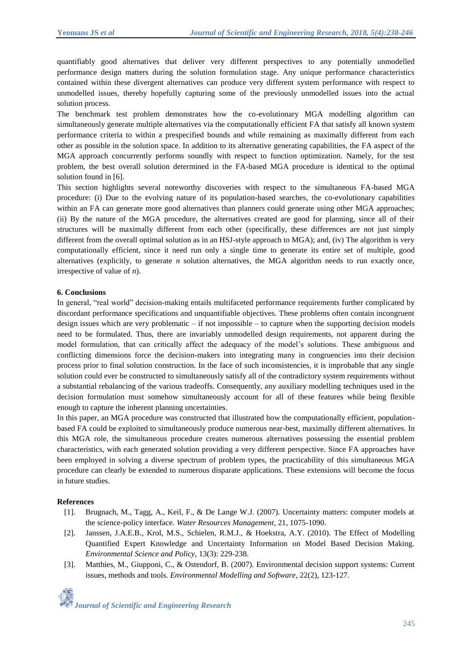quantifiably good alternatives that deliver very different perspectives to any potentially unmodelled performance design matters during the solution formulation stage. Any unique performance characteristics contained within these divergent alternatives can produce very different system performance with respect to unmodelled issues, thereby hopefully capturing some of the previously unmodelled issues into the actual solution process.

The benchmark test problem demonstrates how the co-evolutionary MGA modelling algorithm can simultaneously generate multiple alternatives via the computationally efficient FA that satisfy all known system performance criteria to within a prespecified bounds and while remaining as maximally different from each other as possible in the solution space. In addition to its alternative generating capabilities, the FA aspect of the MGA approach concurrently performs soundly with respect to function optimization. Namely, for the test problem, the best overall solution determined in the FA-based MGA procedure is identical to the optimal solution found in [6].

This section highlights several noteworthy discoveries with respect to the simultaneous FA-based MGA procedure: (i) Due to the evolving nature of its population-based searches, the co-evolutionary capabilities within an FA can generate more good alternatives than planners could generate using other MGA approaches; (ii) By the nature of the MGA procedure, the alternatives created are good for planning, since all of their structures will be maximally different from each other (specifically, these differences are not just simply different from the overall optimal solution as in an HSJ-style approach to MGA); and, (iv) The algorithm is very computationally efficient, since it need run only a single time to generate its entire set of multiple, good alternatives (explicitly, to generate *n* solution alternatives, the MGA algorithm needs to run exactly once, irrespective of value of *n*).

### **6. Conclusions**

In general, "real world" decision-making entails multifaceted performance requirements further complicated by discordant performance specifications and unquantifiable objectives. These problems often contain incongruent design issues which are very problematic – if not impossible – to capture when the supporting decision models need to be formulated. Thus, there are invariably unmodelled design requirements, not apparent during the model formulation, that can critically affect the adequacy of the model's solutions. These ambiguous and conflicting dimensions force the decision-makers into integrating many in congruencies into their decision process prior to final solution construction. In the face of such inconsistencies, it is improbable that any single solution could ever be constructed to simultaneously satisfy all of the contradictory system requirements without a substantial rebalancing of the various tradeoffs. Consequently, any auxiliary modelling techniques used in the decision formulation must somehow simultaneously account for all of these features while being flexible enough to capture the inherent planning uncertainties.

In this paper, an MGA procedure was constructed that illustrated how the computationally efficient, populationbased FA could be exploited to simultaneously produce numerous near-best, maximally different alternatives. In this MGA role, the simultaneous procedure creates numerous alternatives possessing the essential problem characteristics, with each generated solution providing a very different perspective. Since FA approaches have been employed in solving a diverse spectrum of problem types, the practicability of this simultaneous MGA procedure can clearly be extended to numerous disparate applications. These extensions will become the focus in future studies.

### **References**

- [1]. Brugnach, M., Tagg, A., Keil, F., & De Lange W.J. (2007). Uncertainty matters: computer models at the science-policy interface. *Water Resources Management*, 21, 1075-1090.
- [2]. Janssen, J.A.E.B., Krol, M.S., Schielen, R.M.J., & Hoekstra, A.Y. (2010). The Effect of Modelling Quantified Expert Knowledge and Uncertainty Information on Model Based Decision Making. *Environmental Science and Policy*, 13(3): 229-238.
- [3]. Matthies, M., Giupponi, C., & Ostendorf, B. (2007). Environmental decision support systems: Current issues, methods and tools. *Environmental Modelling and Software*, 22(2), 123-127.